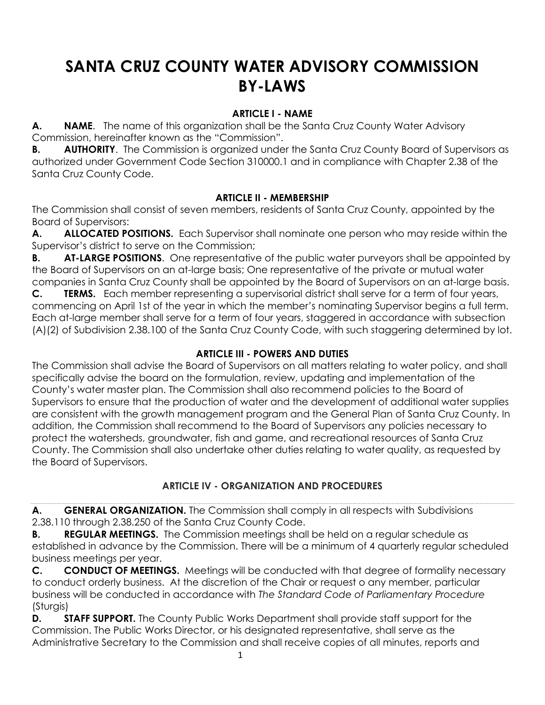# **SANTA CRUZ COUNTY WATER ADVISORY COMMISSION BY-LAWS**

### **ARTICLE I - NAME**

**A. NAME**. The name of this organization shall be the Santa Cruz County Water Advisory Commission, hereinafter known as the "Commission".

**B. AUTHORITY.** The Commission is organized under the Santa Cruz County Board of Supervisors as authorized under Government Code Section 310000.1 and in compliance with Chapter 2.38 of the Santa Cruz County Code.

#### **ARTICLE II - MEMBERSHIP**

The Commission shall consist of seven members, residents of Santa Cruz County, appointed by the Board of Supervisors:

**A. ALLOCATED POSITIONS.** Each Supervisor shall nominate one person who may reside within the Supervisor's district to serve on the Commission;

**B. AT-LARGE POSITIONS**. One representative of the public water purveyors shall be appointed by the Board of Supervisors on an at-large basis; One representative of the private or mutual water companies in Santa Cruz County shall be appointed by the Board of Supervisors on an at-large basis.

**C. TERMS.** Each member representing a supervisorial district shall serve for a term of four years, commencing on April 1st of the year in which the member's nominating Supervisor begins a full term. Each at-large member shall serve for a term of four years, staggered in accordance with subsection (A)(2) of Subdivision 2.38.100 of the Santa Cruz County Code, with such staggering determined by lot.

#### **ARTICLE III - POWERS AND DUTIES**

The Commission shall advise the Board of Supervisors on all matters relating to water policy, and shall specifically advise the board on the formulation, review, updating and implementation of the County's water master plan. The Commission shall also recommend policies to the Board of Supervisors to ensure that the production of water and the development of additional water supplies are consistent with the growth management program and the General Plan of Santa Cruz County. In addition, the Commission shall recommend to the Board of Supervisors any policies necessary to protect the watersheds, groundwater, fish and game, and recreational resources of Santa Cruz County. The Commission shall also undertake other duties relating to water quality, as requested by the Board of Supervisors.

#### **ARTICLE IV - ORGANIZATION AND PROCEDURES**

**A. GENERAL ORGANIZATION.** The Commission shall comply in all respects with Subdivisions 2.38.110 through 2.38.250 of the Santa Cruz County Code.

**B. REGULAR MEETINGS.** The Commission meetings shall be held on a regular schedule as established in advance by the Commission. There will be a minimum of 4 quarterly regular scheduled business meetings per year.

**C. CONDUCT OF MEETINGS.** Meetings will be conducted with that degree of formality necessary to conduct orderly business. At the discretion of the Chair or request o any member, particular business will be conducted in accordance with *The Standard Code of Parliamentary Procedure* (Sturgis)

**D. STAFF SUPPORT.** The County Public Works Department shall provide staff support for the Commission. The Public Works Director, or his designated representative, shall serve as the Administrative Secretary to the Commission and shall receive copies of all minutes, reports and